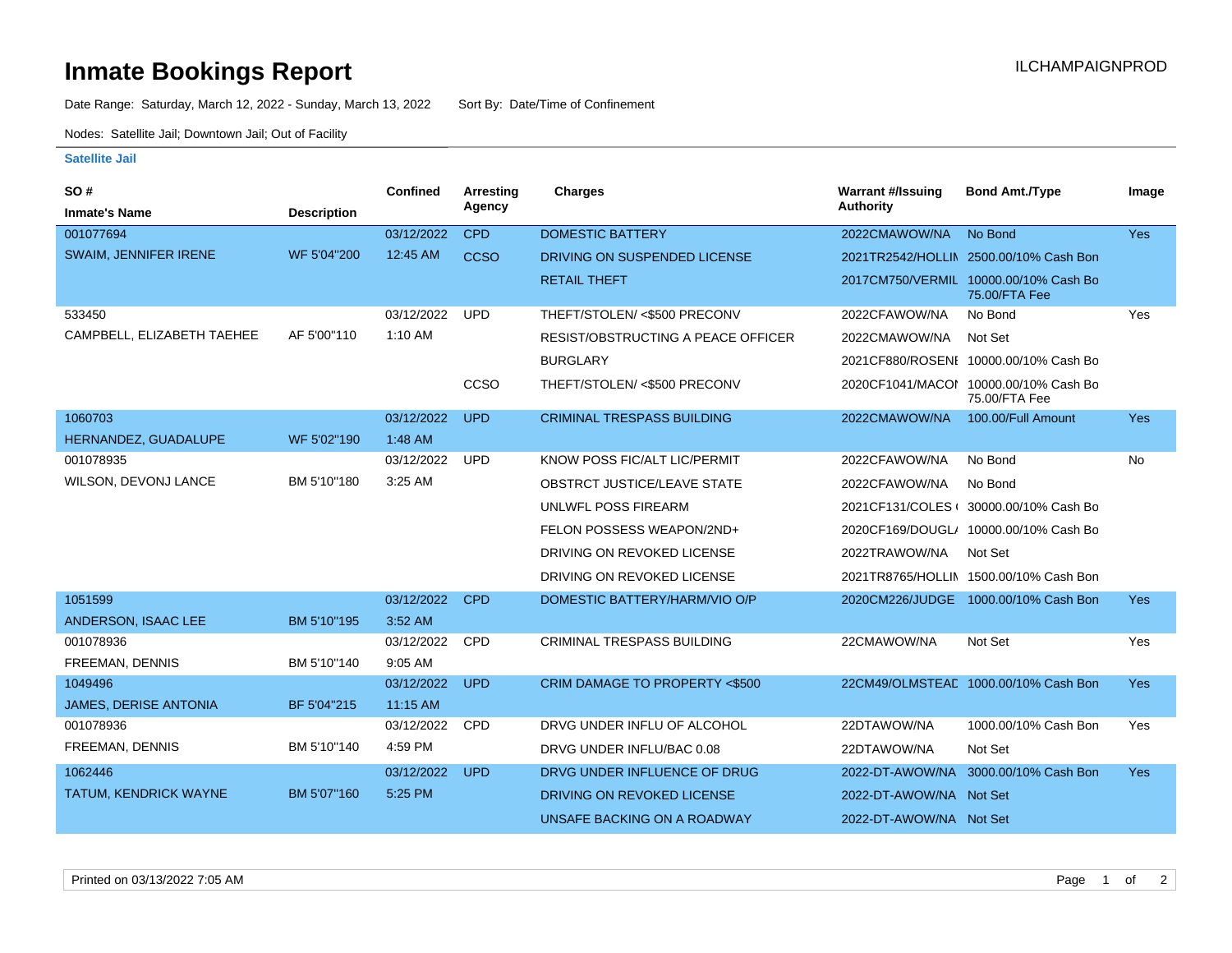## **Inmate Bookings Report Inmate Bookings Report**

Date Range: Saturday, March 12, 2022 - Sunday, March 13, 2022 Sort By: Date/Time of Confinement

Nodes: Satellite Jail; Downtown Jail; Out of Facility

## **Satellite Jail**

| <b>SO#</b>                   |                    | <b>Confined</b> | Arresting   | <b>Charges</b>                     | <b>Warrant #/Issuing</b> | <b>Bond Amt./Type</b>                                  | Image      |
|------------------------------|--------------------|-----------------|-------------|------------------------------------|--------------------------|--------------------------------------------------------|------------|
| <b>Inmate's Name</b>         | <b>Description</b> |                 | Agency      |                                    | Authority                |                                                        |            |
| 001077694                    |                    | 03/12/2022      | <b>CPD</b>  | <b>DOMESTIC BATTERY</b>            | 2022CMAWOW/NA            | No Bond                                                | <b>Yes</b> |
| <b>SWAIM, JENNIFER IRENE</b> | WF 5'04"200        | 12:45 AM        | <b>CCSO</b> | DRIVING ON SUSPENDED LICENSE       |                          | 2021TR2542/HOLLIN 2500.00/10% Cash Bon                 |            |
|                              |                    |                 |             | <b>RETAIL THEFT</b>                |                          | 2017CM750/VERMIL 10000.00/10% Cash Bo<br>75.00/FTA Fee |            |
| 533450                       |                    | 03/12/2022      | <b>UPD</b>  | THEFT/STOLEN/ <\$500 PRECONV       | 2022CFAWOW/NA            | No Bond                                                | Yes        |
| CAMPBELL, ELIZABETH TAEHEE   | AF 5'00"110        | 1:10 AM         |             | RESIST/OBSTRUCTING A PEACE OFFICER | 2022CMAWOW/NA            | Not Set                                                |            |
|                              |                    |                 |             | <b>BURGLARY</b>                    |                          | 2021CF880/ROSENI 10000.00/10% Cash Bo                  |            |
|                              |                    |                 | ccso        | THEFT/STOLEN/ <\$500 PRECONV       |                          | 2020CF1041/MACOI 10000.00/10% Cash Bo<br>75.00/FTA Fee |            |
| 1060703                      |                    | 03/12/2022      | <b>UPD</b>  | <b>CRIMINAL TRESPASS BUILDING</b>  | 2022CMAWOW/NA            | 100.00/Full Amount                                     | Yes        |
| HERNANDEZ, GUADALUPE         | WF 5'02"190        | 1:48 AM         |             |                                    |                          |                                                        |            |
| 001078935                    |                    | 03/12/2022      | <b>UPD</b>  | KNOW POSS FIC/ALT LIC/PERMIT       | 2022CFAWOW/NA            | No Bond                                                | No         |
| <b>WILSON, DEVONJ LANCE</b>  | BM 5'10"180        | 3:25 AM         |             | <b>OBSTRCT JUSTICE/LEAVE STATE</b> | 2022CFAWOW/NA            | No Bond                                                |            |
|                              |                    |                 |             | UNLWFL POSS FIREARM                |                          | 2021CF131/COLES ( 30000.00/10% Cash Bo                 |            |
|                              |                    |                 |             | FELON POSSESS WEAPON/2ND+          |                          | 2020CF169/DOUGL/ 10000.00/10% Cash Bo                  |            |
|                              |                    |                 |             | DRIVING ON REVOKED LICENSE         | 2022TRAWOW/NA            | Not Set                                                |            |
|                              |                    |                 |             | DRIVING ON REVOKED LICENSE         |                          | 2021TR8765/HOLLIN 1500.00/10% Cash Bon                 |            |
| 1051599                      |                    | 03/12/2022      | <b>CPD</b>  | DOMESTIC BATTERY/HARM/VIO O/P      |                          | 2020CM226/JUDGE 1000.00/10% Cash Bon                   | <b>Yes</b> |
| ANDERSON, ISAAC LEE          | BM 5'10"195        | 3:52 AM         |             |                                    |                          |                                                        |            |
| 001078936                    |                    | 03/12/2022      | <b>CPD</b>  | <b>CRIMINAL TRESPASS BUILDING</b>  | 22CMAWOW/NA              | Not Set                                                | Yes        |
| FREEMAN, DENNIS              | BM 5'10"140        | 9:05 AM         |             |                                    |                          |                                                        |            |
| 1049496                      |                    | 03/12/2022      | <b>UPD</b>  | CRIM DAMAGE TO PROPERTY <\$500     |                          | 22CM49/OLMSTEAD 1000.00/10% Cash Bon                   | Yes        |
| <b>JAMES, DERISE ANTONIA</b> | BF 5'04"215        | 11:15 AM        |             |                                    |                          |                                                        |            |
| 001078936                    |                    | 03/12/2022      | <b>CPD</b>  | DRVG UNDER INFLU OF ALCOHOL        | 22DTAWOW/NA              | 1000.00/10% Cash Bon                                   | Yes        |
| FREEMAN, DENNIS              | BM 5'10"140        | 4:59 PM         |             | DRVG UNDER INFLU/BAC 0.08          | 22DTAWOW/NA              | Not Set                                                |            |
| 1062446                      |                    | 03/12/2022      | <b>UPD</b>  | DRVG UNDER INFLUENCE OF DRUG       | 2022-DT-AWOW/NA          | 3000.00/10% Cash Bon                                   | <b>Yes</b> |
| TATUM, KENDRICK WAYNE        | BM 5'07"160        | 5:25 PM         |             | DRIVING ON REVOKED LICENSE         | 2022-DT-AWOW/NA Not Set  |                                                        |            |
|                              |                    |                 |             | UNSAFE BACKING ON A ROADWAY        | 2022-DT-AWOW/NA Not Set  |                                                        |            |